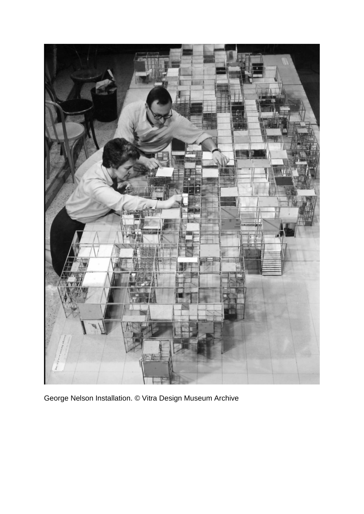

George Nelson Installation. © Vitra Design Museum Archive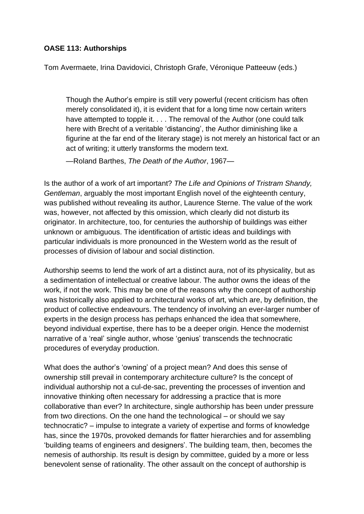## **OASE 113: Authorships**

Tom Avermaete, Irina Davidovici, Christoph Grafe, Véronique Patteeuw (eds.)

Though the Author's empire is still very powerful (recent criticism has often merely consolidated it), it is evident that for a long time now certain writers have attempted to topple it. . . . The removal of the Author (one could talk here with Brecht of a veritable 'distancing', the Author diminishing like a figurine at the far end of the literary stage) is not merely an historical fact or an act of writing; it utterly transforms the modern text.

—Roland Barthes, *The Death of the Author*, 1967—

Is the author of a work of art important? *The Life and Opinions of Tristram Shandy, Gentleman*, arguably the most important English novel of the eighteenth century, was published without revealing its author, Laurence Sterne. The value of the work was, however, not affected by this omission, which clearly did not disturb its originator. In architecture, too, for centuries the authorship of buildings was either unknown or ambiguous. The identification of artistic ideas and buildings with particular individuals is more pronounced in the Western world as the result of processes of division of labour and social distinction.

Authorship seems to lend the work of art a distinct aura, not of its physicality, but as a sedimentation of intellectual or creative labour. The author owns the ideas of the work, if not the work. This may be one of the reasons why the concept of authorship was historically also applied to architectural works of art, which are, by definition, the product of collective endeavours. The tendency of involving an ever-larger number of experts in the design process has perhaps enhanced the idea that somewhere, beyond individual expertise, there has to be a deeper origin. Hence the modernist narrative of a 'real' single author, whose 'genius' transcends the technocratic procedures of everyday production.

What does the author's 'owning' of a project mean? And does this sense of ownership still prevail in contemporary architecture culture? Is the concept of individual authorship not a cul-de-sac, preventing the processes of invention and innovative thinking often necessary for addressing a practice that is more collaborative than ever? In architecture, single authorship has been under pressure from two directions. On the one hand the technological – or should we say technocratic? – impulse to integrate a variety of expertise and forms of knowledge has, since the 1970s, provoked demands for flatter hierarchies and for assembling 'building teams of engineers and designers'. The building team, then, becomes the nemesis of authorship. Its result is design by committee, guided by a more or less benevolent sense of rationality. The other assault on the concept of authorship is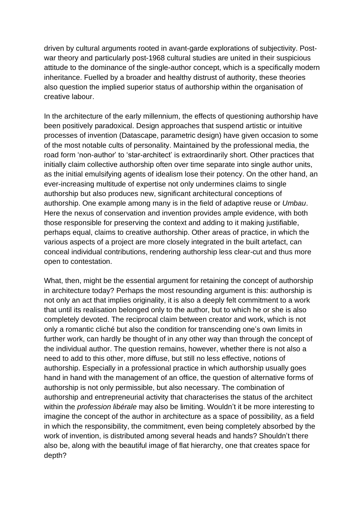driven by cultural arguments rooted in avant-garde explorations of subjectivity. Postwar theory and particularly post-1968 cultural studies are united in their suspicious attitude to the dominance of the single-author concept, which is a specifically modern inheritance. Fuelled by a broader and healthy distrust of authority, these theories also question the implied superior status of authorship within the organisation of creative labour.

In the architecture of the early millennium, the effects of questioning authorship have been positively paradoxical. Design approaches that suspend artistic or intuitive processes of invention (Datascape, parametric design) have given occasion to some of the most notable cults of personality. Maintained by the professional media, the road form 'non-author' to 'star-architect' is extraordinarily short. Other practices that initially claim collective authorship often over time separate into single author units, as the initial emulsifying agents of idealism lose their potency. On the other hand, an ever-increasing multitude of expertise not only undermines claims to single authorship but also produces new, significant architectural conceptions of authorship. One example among many is in the field of adaptive reuse or *Umbau*. Here the nexus of conservation and invention provides ample evidence, with both those responsible for preserving the context and adding to it making justifiable, perhaps equal, claims to creative authorship. Other areas of practice, in which the various aspects of a project are more closely integrated in the built artefact, can conceal individual contributions, rendering authorship less clear-cut and thus more open to contestation.

What, then, might be the essential argument for retaining the concept of authorship in architecture today? Perhaps the most resounding argument is this: authorship is not only an act that implies originality, it is also a deeply felt commitment to a work that until its realisation belonged only to the author, but to which he or she is also completely devoted. The reciprocal claim between creator and work, which is not only a romantic cliché but also the condition for transcending one's own limits in further work, can hardly be thought of in any other way than through the concept of the individual author. The question remains, however, whether there is not also a need to add to this other, more diffuse, but still no less effective, notions of authorship. Especially in a professional practice in which authorship usually goes hand in hand with the management of an office, the question of alternative forms of authorship is not only permissible, but also necessary. The combination of authorship and entrepreneurial activity that characterises the status of the architect within the *profession libérale* may also be limiting. Wouldn't it be more interesting to imagine the concept of the author in architecture as a space of possibility, as a field in which the responsibility, the commitment, even being completely absorbed by the work of invention, is distributed among several heads and hands? Shouldn't there also be, along with the beautiful image of flat hierarchy, one that creates space for depth?